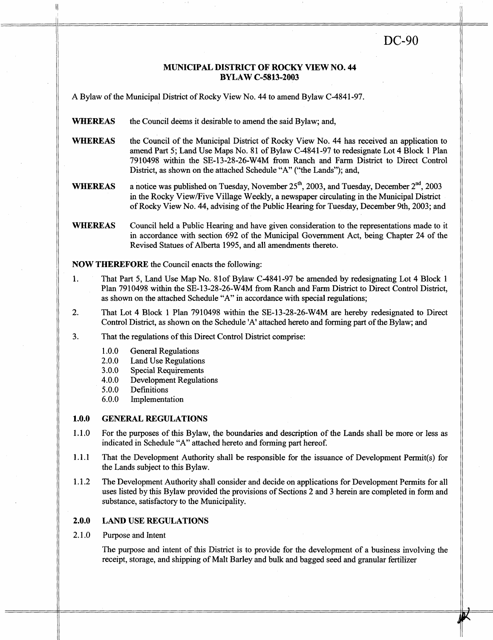# DC-90

## **MUNICIPAL DISTRICT OF ROCKY VIEW NO. 44 BYLAW C-58 13-2003**

A Bylaw of the Municipal District of Rocky View No. 44 to amend Bylaw C-484 1-97.

- **WHEREAS** the Council deems it desirable to amend the said Bylaw; and,
- **WHEREAS** the Council of the Municipal District of Rocky View No. 44 has received an application to amend Part 5; Land Use Maps No. 81 of Bylaw C-4841-97 to redesignate Lot **4** Block 1 Plan 7910498 within the SE-13-28-26-W4M ffom Ranch and Farm District to Direct Control District, as shown on the attached Schedule "A" ("the Lands"); and,
- a notice was published on Tuesday, November  $25<sup>th</sup>$ , 2003, and Tuesday, December  $2<sup>nd</sup>$ , 2003 in the Rocky View/Five Village **Weekly,** a newspaper circulating in the Municipal District of Rocky View No. 44, advising of the Public Hearing for Tuesday, December 9th, 2003; and **WHEREAS**
- **WHEREAS** Council held a Public Hearing and have given consideration to the representations made to it in accordance with section 692 of the Municipal Government Act, being Chapter 24 of the Revised Statues of Alberta 1995, and all amendments thereto.

**NOW THEREFORE** the Council enacts the following:

- 1. That Part 5, Land Use Map No. 81of Bylaw C-4841-97 be amended by redesignating Lot 4 Block 1 Plan 7910498 within the SE-13-28-26-W4M from Ranch and Farm District to Direct Control District, as shown on the attached Schedule **"A"** in accordance with special regulations;
- 2. That Lot 4 Block 1 Plan 7910498 within the SE-l3-28-26-W4M are hereby redesignated to Direct Control District, as shown on the Schedule 'A' attached hereto and forming part of the Bylaw; and
- 3. That the regulations of this Direct Control District comprise:
	- 1 **.O.O** General Regulations
	- 2.0.0 Land Use Regulations
	- 3.0.0 Special Requirements
	- 4.0.0 Development Regulations
	- 5.0.0 Definitions
	- 6.0.0 Implementation

#### **1.0.0 GENERAL REGULATIONS**

- 1.1.0 For the purposes of this Bylaw, the boundaries and description of the Lands shall be more or less as indicated in Schedule "A" attached hereto and forming part hereof.
- 1.1.1 That the Development Authority shall be responsible for the issuance of Development Permit(s) for the Lands subject to this Bylaw.
- 1.1.2 The Development Authority shall consider and decide on applications for Development Permits for all uses listed by this Bylaw provided the provisions of Sections 2 and 3 herein are completed in form and substance, satisfactory to the Municipality.

#### **2.0.0 LAND USE REGULATIONS**

#### .2.1 .o Purpose and Intent

The purpose and intent of this District is to provide for the development of a business involving the receipt, storage, and shipping of Malt Barley and bulk and bagged seed and granular fertilizer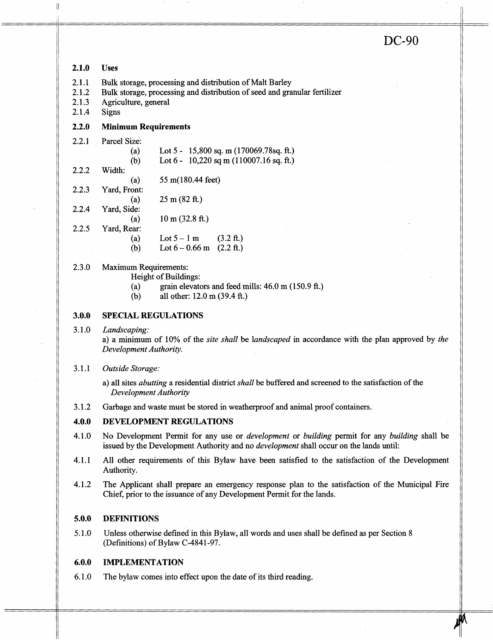DC-90

### **2.1.0**  2.1.1 2.1.2 2.1.3 2.1.4 **2.2.0**  2.2.1 2.2.2 2.2.3 2.2.4 2.2.5 2.3.0 **3.0.0**  3.1 .O 3.1.1 3.1.2 **4.0.0**  4.1 .O 4.1.1 4.1.2 **5.0.0**  5.1.0 **6.0.0 Uses**  Bulk storage, processing and distribution of Malt Barley Bulk storage, processing and distribution of seed and granular fertilizer Agriculture, general Signs **Minimum Requirements**  Parcel Size: (a) Lot 5 - 15,800 sq. m (170069.78sq. **ft.)**  (b) Lot **6** - 10,220 sq m ( 1 10007.16 **sq. ft.)**  (a) 55 m(180.44 feet) (a) 25 m (82 **fi.)**  (a)  $10 \text{ m}$  (32.8 ft.) (a) Lot  $5 - 1$  m (3.2 ft.)<br>(b) Lot  $6 - 0.66$  m (2.2 ft.) Lot  $6 - 0.66$  m (2.2 ft.) Width: Yard, Front: Yard, Side: Yard, Rear: Maximum Requirements: Height of Buildings: (a) (b) grain elevators and feed mills: 46.0 m (150.9 ft.) all other: 12.0 m (39.4 ft.) **SPECIAL REGULATIONS**  *Landscaping:*  a) a minimum of 10% of the *site shall* be *landscaped* in accordance with the plan approved by *the Development Authority. Outside Storage:*  a) all sites *abutting* a residential district *shall* be buffered and screened to the satisfaction of the Garbage and waste must be stored in weatherproof and animal proof containers. **DEVELOPMENT REGULATIONS**  *Development Authority*  No Development Permit for any use or *development* or *building* permit for any *building* shall be issued by the Development Authority and no *development* shall occur on the lands until: All other requirements of this Bylaw have been satisfied to the satisfaction of the Development Authority. The Applicant shall prepare an emergency response plan to the satisfaction of the Municipal Fire Chief, prior to the issuance of any Development Permit for the lands. **DEFINITIONS**  Unless otherwise defined in this Bylaw, all words and uses shall be defined **as** per Section 8 (Definitions) of Bylaw C-4841-97. **IMPLEMENTATION**

6.1 .O The bylaw comes into effect upon the date of its third reading.

 $\parallel$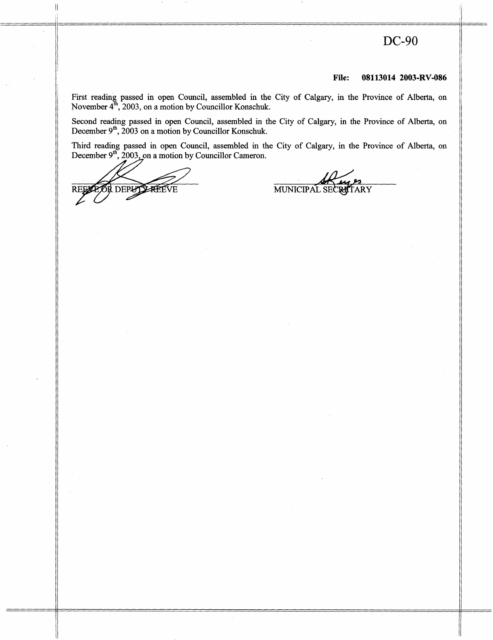DC-90

**File: 08113014 2003-RV-086** 

First reading passed in open Council, assembled in the City of Calgary, in the Province of Alberta, on November  $4^{\text{th}}$ , 2003, on a motion by Councillor Konschuk.

Second reading passed in open Council, assembled in the City of Calgary, in the Province **of** Alberta, on December **9',** 2003 on a motion by Councillor Konschuk.

Third reading passed in open Council, assembled in the City of Calgary, in the Province of Alberta, on December  $9<sup>th</sup>$ , 2003, on a motion by Councillor Cameron.

LREE DEPU **RI** 

MUNICIPAL SECRITARY